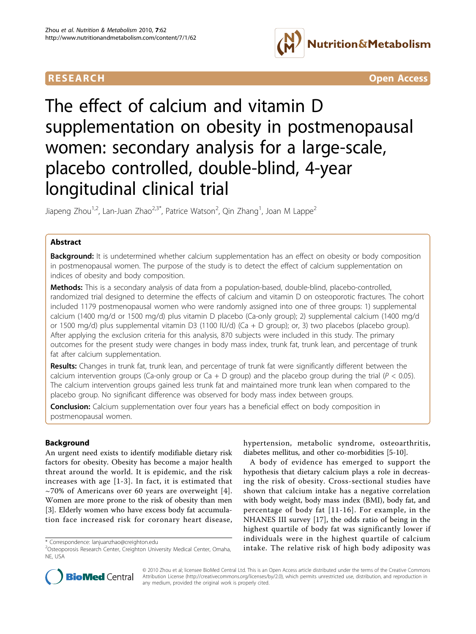



# The effect of calcium and vitamin D supplementation on obesity in postmenopausal women: secondary analysis for a large-scale, placebo controlled, double-blind, 4-year longitudinal clinical trial

Jiapeng Zhou<sup>1,2</sup>, Lan-Juan Zhao<sup>2,3\*</sup>, Patrice Watson<sup>2</sup>, Qin Zhang<sup>1</sup>, Joan M Lappe<sup>2</sup>

# Abstract

Background: It is undetermined whether calcium supplementation has an effect on obesity or body composition in postmenopausal women. The purpose of the study is to detect the effect of calcium supplementation on indices of obesity and body composition.

Methods: This is a secondary analysis of data from a population-based, double-blind, placebo-controlled, randomized trial designed to determine the effects of calcium and vitamin D on osteoporotic fractures. The cohort included 1179 postmenopausal women who were randomly assigned into one of three groups: 1) supplemental calcium (1400 mg/d or 1500 mg/d) plus vitamin D placebo (Ca-only group); 2) supplemental calcium (1400 mg/d or 1500 mg/d) plus supplemental vitamin D3 (1100 IU/d) (Ca + D group); or, 3) two placebos (placebo group). After applying the exclusion criteria for this analysis, 870 subjects were included in this study. The primary outcomes for the present study were changes in body mass index, trunk fat, trunk lean, and percentage of trunk fat after calcium supplementation.

Results: Changes in trunk fat, trunk lean, and percentage of trunk fat were significantly different between the calcium intervention groups (Ca-only group or Ca + D group) and the placebo group during the trial ( $P < 0.05$ ). The calcium intervention groups gained less trunk fat and maintained more trunk lean when compared to the placebo group. No significant difference was observed for body mass index between groups.

**Conclusion:** Calcium supplementation over four years has a beneficial effect on body composition in postmenopausal women.

# Background

An urgent need exists to identify modifiable dietary risk factors for obesity. Obesity has become a major health threat around the world. It is epidemic, and the risk increases with age [[1](#page-7-0)-[3](#page-7-0)]. In fact, it is estimated that  $\sim$ 70% of Americans over 60 years are overweight [[4\]](#page-7-0). Women are more prone to the risk of obesity than men [[3\]](#page-7-0). Elderly women who have excess body fat accumulation face increased risk for coronary heart disease,

hypertension, metabolic syndrome, osteoarthritis, diabetes mellitus, and other co-morbidities [\[5-10](#page-7-0)].

A body of evidence has emerged to support the hypothesis that dietary calcium plays a role in decreasing the risk of obesity. Cross-sectional studies have shown that calcium intake has a negative correlation with body weight, body mass index (BMI), body fat, and percentage of body fat [[11](#page-7-0)-[16\]](#page-7-0). For example, in the NHANES III survey [\[17](#page-7-0)], the odds ratio of being in the highest quartile of body fat was significantly lower if individuals were in the highest quartile of calcium intary duals were in the highest quartile of carcium<br>Correspondence: [lanjuanzhao@creighton.edu](mailto:lanjuanzhao@creighton.edu)<br>Costeoporosis Research Center, Creighton University Medical Center, Omaha, intake. The relative risk of high body adiposity was



© 2010 Zhou et al; licensee BioMed Central Ltd. This is an Open Access article distributed under the terms of the Creative Commons Attribution License [\(http://creativecommons.org/licenses/by/2.0](http://creativecommons.org/licenses/by/2.0)), which permits unrestricted use, distribution, and reproduction in any medium, provided the original work is properly cited.

<sup>&</sup>lt;sup>2</sup>Osteoporosis Research Center, Creighton University Medical Center, Omaha, NE, USA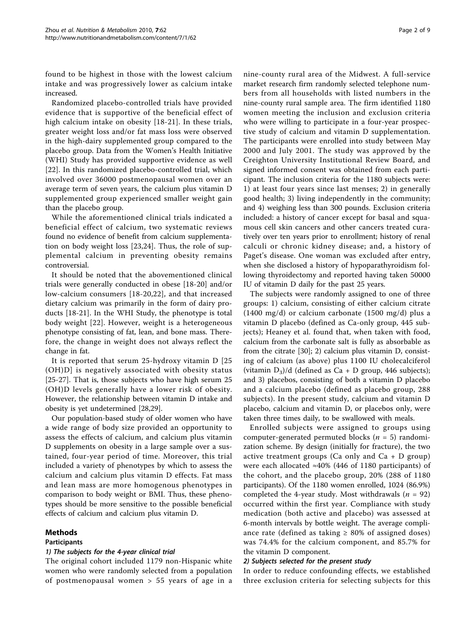found to be highest in those with the lowest calcium intake and was progressively lower as calcium intake increased.

Randomized placebo-controlled trials have provided evidence that is supportive of the beneficial effect of high calcium intake on obesity [[18](#page-7-0)-[21](#page-7-0)]. In these trials, greater weight loss and/or fat mass loss were observed in the high-dairy supplemented group compared to the placebo group. Data from the Women's Health Initiative (WHI) Study has provided supportive evidence as well [[22\]](#page-7-0). In this randomized placebo-controlled trial, which involved over 36000 postmenopausal women over an average term of seven years, the calcium plus vitamin D supplemented group experienced smaller weight gain than the placebo group.

While the aforementioned clinical trials indicated a beneficial effect of calcium, two systematic reviews found no evidence of benefit from calcium supplementation on body weight loss [\[23,24](#page-7-0)]. Thus, the role of supplemental calcium in preventing obesity remains controversial.

It should be noted that the abovementioned clinical trials were generally conducted in obese [\[18-20](#page-7-0)] and/or low-calcium consumers [[18](#page-7-0)-[20](#page-7-0),[22\]](#page-7-0), and that increased dietary calcium was primarily in the form of dairy products [\[18](#page-7-0)-[21\]](#page-7-0). In the WHI Study, the phenotype is total body weight [[22](#page-7-0)]. However, weight is a heterogeneous phenotype consisting of fat, lean, and bone mass. Therefore, the change in weight does not always reflect the change in fat.

It is reported that serum 25-hydroxy vitamin D [25 (OH)D] is negatively associated with obesity status [[25-](#page-7-0)[27](#page-8-0)]. That is, those subjects who have high serum 25 (OH)D levels generally have a lower risk of obesity. However, the relationship between vitamin D intake and obesity is yet undetermined [\[28,29](#page-8-0)].

Our population-based study of older women who have a wide range of body size provided an opportunity to assess the effects of calcium, and calcium plus vitamin D supplements on obesity in a large sample over a sustained, four-year period of time. Moreover, this trial included a variety of phenotypes by which to assess the calcium and calcium plus vitamin D effects. Fat mass and lean mass are more homogenous phenotypes in comparison to body weight or BMI. Thus, these phenotypes should be more sensitive to the possible beneficial effects of calcium and calcium plus vitamin D.

# Methods

# Participants

# 1) The subjects for the 4-year clinical trial

The original cohort included 1179 non-Hispanic white women who were randomly selected from a population of postmenopausal women > 55 years of age in a nine-county rural area of the Midwest. A full-service market research firm randomly selected telephone numbers from all households with listed numbers in the nine-county rural sample area. The firm identified 1180 women meeting the inclusion and exclusion criteria who were willing to participate in a four-year prospective study of calcium and vitamin D supplementation. The participants were enrolled into study between May 2000 and July 2001. The study was approved by the Creighton University Institutional Review Board, and signed informed consent was obtained from each participant. The inclusion criteria for the 1180 subjects were: 1) at least four years since last menses; 2) in generally good health; 3) living independently in the community; and 4) weighing less than 300 pounds. Exclusion criteria included: a history of cancer except for basal and squamous cell skin cancers and other cancers treated curatively over ten years prior to enrollment; history of renal calculi or chronic kidney disease; and, a history of Paget's disease. One woman was excluded after entry, when she disclosed a history of hypoparathyroidism following thyroidectomy and reported having taken 50000 IU of vitamin D daily for the past 25 years.

The subjects were randomly assigned to one of three groups: 1) calcium, consisting of either calcium citrate (1400 mg/d) or calcium carbonate (1500 mg/d) plus a vitamin D placebo (defined as Ca-only group, 445 subjects); Heaney et al. found that, when taken with food, calcium from the carbonate salt is fully as absorbable as from the citrate [[30\]](#page-8-0); 2) calcium plus vitamin D, consisting of calcium (as above) plus 1100 IU cholecalciferol (vitamin  $D_3$ )/d (defined as Ca + D group, 446 subjects); and 3) placebos, consisting of both a vitamin D placebo and a calcium placebo (defined as placebo group, 288 subjects). In the present study, calcium and vitamin D placebo, calcium and vitamin D, or placebos only, were taken three times daily, to be swallowed with meals.

Enrolled subjects were assigned to groups using computer-generated permuted blocks ( $n = 5$ ) randomization scheme. By design (initially for fracture), the two active treatment groups (Ca only and  $Ca + D$  group) were each allocated  $\approx 40\%$  (446 of 1180 participants) of the cohort, and the placebo group, 20% (288 of 1180 participants). Of the 1180 women enrolled, 1024 (86.9%) completed the 4-year study. Most withdrawals ( $n = 92$ ) occurred within the first year. Compliance with study medication (both active and placebo) was assessed at 6-month intervals by bottle weight. The average compliance rate (defined as taking  $\geq$  80% of assigned doses) was 74.4% for the calcium component, and 85.7% for the vitamin D component.

#### 2) Subjects selected for the present study

In order to reduce confounding effects, we established three exclusion criteria for selecting subjects for this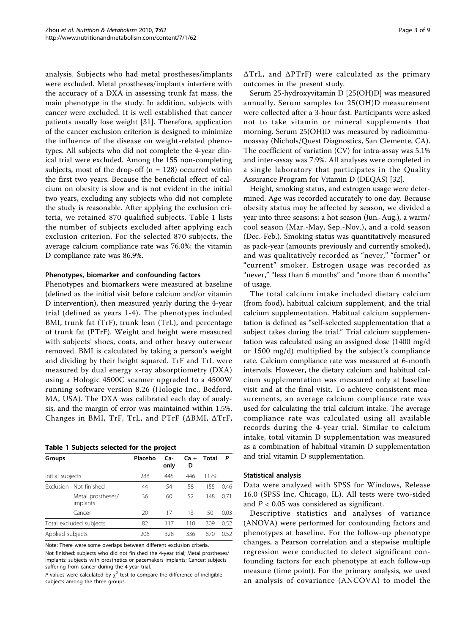<span id="page-2-0"></span>analysis. Subjects who had metal prostheses/implants were excluded. Metal prostheses/implants interfere with the accuracy of a DXA in assessing trunk fat mass, the main phenotype in the study. In addition, subjects with cancer were excluded. It is well established that cancer patients usually lose weight [[31](#page-8-0)]. Therefore, application of the cancer exclusion criterion is designed to minimize the influence of the disease on weight-related phenotypes. All subjects who did not complete the 4-year clinical trial were excluded. Among the 155 non-completing subjects, most of the drop-off ( $n = 128$ ) occurred within the first two years. Because the beneficial effect of calcium on obesity is slow and is not evident in the initial two years, excluding any subjects who did not complete the study is reasonable. After applying the exclusion criteria, we retained 870 qualified subjects. Table 1 lists the number of subjects excluded after applying each exclusion criterion. For the selected 870 subjects, the average calcium compliance rate was 76.0%; the vitamin D compliance rate was 86.9%.

# Phenotypes, biomarker and confounding factors

Phenotypes and biomarkers were measured at baseline (defined as the initial visit before calcium and/or vitamin D intervention), then measured yearly during the 4-year trial (defined as years 1-4). The phenotypes included BMI, trunk fat (TrF), trunk lean (TrL), and percentage of trunk fat (PTrF). Weight and height were measured with subjects' shoes, coats, and other heavy outerwear removed. BMI is calculated by taking a person's weight and dividing by their height squared. TrF and TrL were measured by dual energy x-ray absorptiometry (DXA) using a Hologic 4500C scanner upgraded to a 4500W running software version 8.26 (Hologic Inc., Bedford, MA, USA). The DXA was calibrated each day of analysis, and the margin of error was maintained within 1.5%. Changes in BMI, TrF, TrL, and PTrF (ΔBMI, ΔTrF,

#### Table 1 Subjects selected for the project

| Groups           |                               | Placebo | Ca-<br>only | Ca +<br>D | Total |      |
|------------------|-------------------------------|---------|-------------|-----------|-------|------|
|                  | Initial subjects              |         | 445         | 446       | 1179  |      |
|                  | Exclusion Not finished        | 44      | 54          | 58        | 155   | 0.46 |
|                  | Metal prostheses/<br>implants | 36      | 60          | 52        | 148   | 0.71 |
|                  | Cancer                        | 20      | 17          | 13        | 50    | 0.03 |
|                  | Total excluded subjects       | 82      | 117         | 110       | 309   | 0.52 |
| Applied subjects |                               | 206     | 328         | 336       | 870   | 0.52 |

Note: There were some overlaps between different exclusion criteria.

Not finished: subjects who did not finished the 4-year trial; Metal prostheses/ implants: subjects with prosthetics or pacemakers implants; Cancer: subjects suffering from cancer during the 4-year trial.

P values were calculated by  $\chi^2$  test to compare the difference of ineligible subjects among the three groups.

ΔTrL, and ΔPTrF) were calculated as the primary outcomes in the present study.

Serum 25-hydroxyvitamin D [25(OH)D] was measured annually. Serum samples for 25(OH)D measurement were collected after a 3-hour fast. Participants were asked not to take vitamin or mineral supplements that morning. Serum 25(OH)D was measured by radioimmunoassay (Nichols/Quest Diagnostics, San Clemente, CA). The coefficient of variation (CV) for intra-assay was 5.1% and inter-assay was 7.9%. All analyses were completed in a single laboratory that participates in the Quality Assurance Program for Vitamin D (DEQAS) [\[32](#page-8-0)].

Height, smoking status, and estrogen usage were determined. Age was recorded accurately to one day. Because obesity status may be affected by season, we divided a year into three seasons: a hot season (Jun.-Aug.), a warm/ cool season (Mar.-May, Sep.-Nov.), and a cold season (Dec.-Feb.). Smoking status was quantitatively measured as pack-year (amounts previously and currently smoked), and was qualitatively recorded as "never," "former" or "current" smoker. Estrogen usage was recorded as "never," "less than 6 months" and "more than 6 months" of usage.

The total calcium intake included dietary calcium (from food), habitual calcium supplement, and the trial calcium supplementation. Habitual calcium supplementation is defined as "self-selected supplementation that a subject takes during the trial." Trial calcium supplementation was calculated using an assigned dose (1400 mg/d or 1500 mg/d) multiplied by the subject's compliance rate. Calcium compliance rate was measured at 6-month intervals. However, the dietary calcium and habitual calcium supplementation was measured only at baseline visit and at the final visit. To achieve consistent measurements, an average calcium compliance rate was used for calculating the trial calcium intake. The average compliance rate was calculated using all available records during the 4-year trial. Similar to calcium intake, total vitamin D supplementation was measured as a combination of habitual vitamin D supplementation and trial vitamin D supplementation.

#### Statistical analysis

Data were analyzed with SPSS for Windows, Release 16.0 (SPSS Inc, Chicago, IL). All tests were two-sided and  $P < 0.05$  was considered as significant.

Descriptive statistics and analyses of variance (ANOVA) were performed for confounding factors and phenotypes at baseline. For the follow-up phenotype changes, a Pearson correlation and a stepwise multiple regression were conducted to detect significant confounding factors for each phenotype at each follow-up measure (time point). For the primary analysis, we used an analysis of covariance (ANCOVA) to model the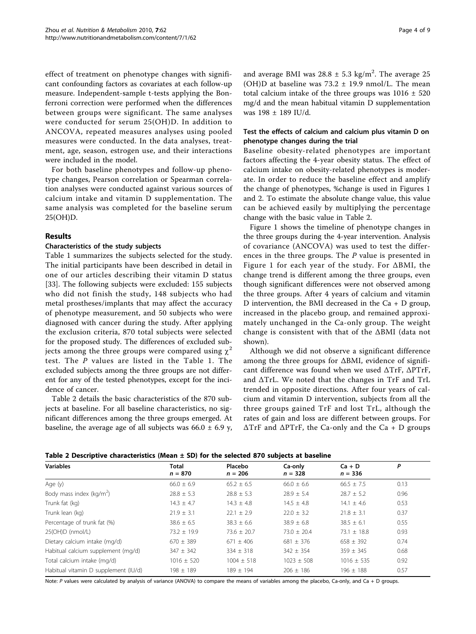effect of treatment on phenotype changes with significant confounding factors as covariates at each follow-up measure. Independent-sample t-tests applying the Bonferroni correction were performed when the differences between groups were significant. The same analyses were conducted for serum 25(OH)D. In addition to ANCOVA, repeated measures analyses using pooled measures were conducted. In the data analyses, treatment, age, season, estrogen use, and their interactions were included in the model.

For both baseline phenotypes and follow-up phenotype changes, Pearson correlation or Spearman correlation analyses were conducted against various sources of calcium intake and vitamin D supplementation. The same analysis was completed for the baseline serum 25(OH)D.

# Results

#### Characteristics of the study subjects

Table [1](#page-2-0) summarizes the subjects selected for the study. The initial participants have been described in detail in one of our articles describing their vitamin D status [[33\]](#page-8-0). The following subjects were excluded: 155 subjects who did not finish the study, 148 subjects who had metal prostheses/implants that may affect the accuracy of phenotype measurement, and 50 subjects who were diagnosed with cancer during the study. After applying the exclusion criteria, 870 total subjects were selected for the proposed study. The differences of excluded subjects among the three groups were compared using  $\chi^2$ test. The P values are listed in the Table [1.](#page-2-0) The excluded subjects among the three groups are not different for any of the tested phenotypes, except for the incidence of cancer.

Table 2 details the basic characteristics of the 870 subjects at baseline. For all baseline characteristics, no significant differences among the three groups emerged. At baseline, the average age of all subjects was  $66.0 \pm 6.9$  y,

# Test the effects of calcium and calcium plus vitamin D on phenotype changes during the trial

Baseline obesity-related phenotypes are important factors affecting the 4-year obesity status. The effect of calcium intake on obesity-related phenotypes is moderate. In order to reduce the baseline effect and amplify the change of phenotypes, %change is used in Figures [1](#page-4-0) and [2](#page-5-0). To estimate the absolute change value, this value can be achieved easily by multiplying the percentage change with the basic value in Table 2.

Figure [1](#page-4-0) shows the timeline of phenotype changes in the three groups during the 4-year intervention. Analysis of covariance (ANCOVA) was used to test the differences in the three groups. The P value is presented in Figure [1](#page-4-0) for each year of the study. For ΔBMI, the change trend is different among the three groups, even though significant differences were not observed among the three groups. After 4 years of calcium and vitamin D intervention, the BMI decreased in the Ca + D group, increased in the placebo group, and remained approximately unchanged in the Ca-only group. The weight change is consistent with that of the ΔBMI (data not shown).

Although we did not observe a significant difference among the three groups for ΔBMI, evidence of significant difference was found when we used ΔTrF, ΔPTrF, and ΔTrL. We noted that the changes in TrF and TrL trended in opposite directions. After four years of calcium and vitamin D intervention, subjects from all the three groups gained TrF and lost TrL, although the rates of gain and loss are different between groups. For ΔTrF and ΔPTrF, the Ca-only and the Ca + D groups

|  | Table 2 Descriptive characteristics (Mean ± SD) for the selected 870 subjects at baseline |  |  |
|--|-------------------------------------------------------------------------------------------|--|--|
|--|-------------------------------------------------------------------------------------------|--|--|

| <b>Variables</b>                     | Total<br>$n = 870$ | Placebo<br>$n = 206$ | Ca-only<br>$n = 328$ | $Ca + D$<br>$n = 336$ | P    |
|--------------------------------------|--------------------|----------------------|----------------------|-----------------------|------|
| Age (y)                              | $66.0 \pm 6.9$     | $65.2 \pm 6.5$       | $66.0 + 6.6$         | $66.5 + 7.5$          | 0.13 |
| Body mass index ( $kg/m2$ )          | $28.8 \pm 5.3$     | $28.8 \pm 5.3$       | $28.9 \pm 5.4$       | $28.7 \pm 5.2$        | 0.96 |
| Trunk fat (kg)                       | $14.3 + 4.7$       | $14.3 + 4.8$         | $14.5 + 4.8$         | $14.1 + 4.6$          | 0.53 |
| Trunk lean (kg)                      | $21.9 \pm 3.1$     | $22.1 + 2.9$         | $22.0 \pm 3.2$       | $21.8 \pm 3.1$        | 0.37 |
| Percentage of trunk fat (%)          | $38.6 \pm 6.5$     | $38.3 \pm 6.6$       | $38.9 \pm 6.8$       | $38.5 + 6.1$          | 0.55 |
| 25(OH)D (nmol/L)                     | $73.2 \pm 19.9$    | $73.6 + 20.7$        | $73.0 + 20.4$        | $73.1 + 18.8$         | 0.93 |
| Dietary calcium intake (mg/d)        | $670 \pm 389$      | $671 + 406$          | $681 + 376$          | $658 \pm 392$         | 0.74 |
| Habitual calcium supplement (mg/d)   | $347 \pm 342$      | $334 \pm 318$        | $342 \pm 354$        | $359 \pm 345$         | 0.68 |
| Total calcium intake (mg/d)          | $1016 \pm 520$     | $1004 + 518$         | $1023 + 508$         | $1016 + 535$          | 0.92 |
| Habitual vitamin D supplement (IU/d) | $198 + 189$        | $189 + 194$          | $206 + 186$          | $196 + 188$           | 0.57 |

Note: P values were calculated by analysis of variance (ANOVA) to compare the means of variables among the placebo, Ca-only, and Ca + D groups.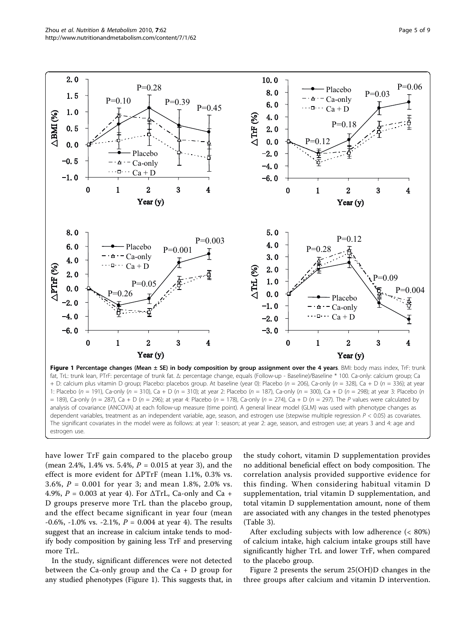<span id="page-4-0"></span>

Figure 1 Percentage changes (Mean ± SE) in body composition by group assignment over the 4 years. BMI: body mass index, TrF: trunk fat, TrL: trunk lean, PTrF: percentage of trunk fat. Δ: percentage change, equals (Follow-up - Baseline)/Baseline \* 100. Ca-only: calcium group; Ca + D: calcium plus vitamin D group; Placebo: placebos group. At baseline (year 0): Placebo (n = 206), Ca-only (n = 328), Ca + D (n = 336); at year 1: Placebo (n = 191), Ca-only (n = 310), Ca + D (n = 310); at year 2: Placebo (n = 187), Ca-only (n = 300), Ca + D (n = 298); at year 3: Placebo (n  $= 189$ ), Ca-only (n = 287), Ca + D (n = 296); at year 4: Placebo (n = 178), Ca-only (n = 274), Ca + D (n = 297). The P values were calculated by analysis of covariance (ANCOVA) at each follow-up measure (time point). A general linear model (GLM) was used with phenotype changes as dependent variables, treatment as an independent variable, age, season, and estrogen use (stepwise multiple regression  $P < 0.05$ ) as covariates. The significant covariates in the model were as follows: at year 1: season; at year 2: age, season, and estrogen use; at years 3 and 4: age and estrogen use.

have lower TrF gain compared to the placebo group (mean 2.4%, 1.4% vs. 5.4%,  $P = 0.015$  at year 3), and the effect is more evident for  $\Delta$ PTrF (mean 1.1%, 0.3% vs. 3.6%, P = 0.001 for year 3; and mean 1.8%, 2.0% vs. 4.9%,  $P = 0.003$  at year 4). For  $\Delta T rL$ , Ca-only and Ca + D groups preserve more TrL than the placebo group, and the effect became significant in year four (mean -0.6%, -1.0% vs. -2.1%,  $P = 0.004$  at year 4). The results suggest that an increase in calcium intake tends to modify body composition by gaining less TrF and preserving more TrL.

In the study, significant differences were not detected between the Ca-only group and the  $Ca + D$  group for any studied phenotypes (Figure 1). This suggests that, in the study cohort, vitamin D supplementation provides no additional beneficial effect on body composition. The correlation analysis provided supportive evidence for this finding. When considering habitual vitamin D supplementation, trial vitamin D supplementation, and total vitamin D supplementation amount, none of them are associated with any changes in the tested phenotypes (Table [3\)](#page-5-0).

After excluding subjects with low adherence (< 80%) of calcium intake, high calcium intake groups still have significantly higher TrL and lower TrF, when compared to the placebo group.

Figure [2](#page-5-0) presents the serum 25(OH)D changes in the three groups after calcium and vitamin D intervention.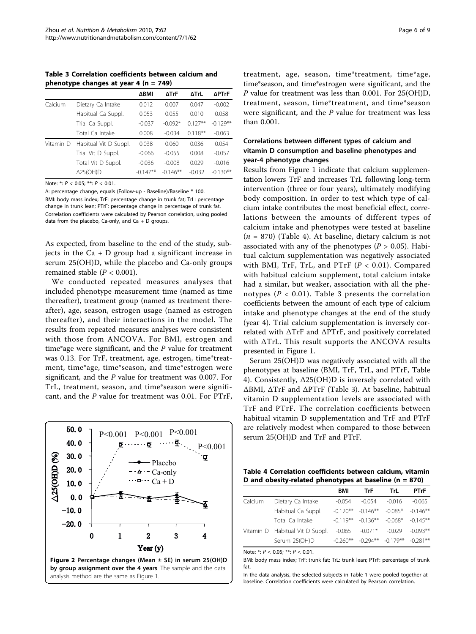<span id="page-5-0"></span>Table 3 Correlation coefficients between calcium and phenotype changes at year 4 ( $n = 749$ )

|           |                       | ΔΒΜΙ       | ΔTrF       | ΔTrL       | ∆PTrF      |
|-----------|-----------------------|------------|------------|------------|------------|
| Calcium   | Dietary Ca Intake     | 0.012      | 0.007      | 0.047      | $-0.002$   |
|           | Habitual Ca Suppl.    | 0.053      | 0.055      | 0.010      | 0.058      |
|           | Trial Ca Suppl.       | $-0.037$   | $-0.092*$  | $0.127**$  | $-0.129**$ |
|           | Total Ca Intake       | 0.008      | $-0.034$   | $0.118***$ | $-0.063$   |
| Vitamin D | Habitual Vit D Suppl. | 0.038      | 0.060      | 0.036      | 0.054      |
|           | Trial Vit D Suppl.    | $-0.066$   | $-0.055$   | 0.008      | $-0.057$   |
|           | Total Vit D Suppl.    | $-0.036$   | $-0.008$   | 0.029      | $-0.016$   |
|           | Δ25(OH)D              | $-0.147**$ | $-0.146**$ | $-0.032$   | $-0.130**$ |

Note: \*:  $P < 0.05$ ; \*\*:  $P < 0.01$ .

Δ: percentage change, equals (Follow-up - Baseline)/Baseline \* 100. BMI: body mass index; TrF: percentage change in trunk fat; TrL: percentage change in trunk lean; PTrF: percentage change in percentage of trunk fat. Correlation coefficients were calculated by Pearson correlation, using pooled data from the placebo, Ca-only, and Ca + D groups.

As expected, from baseline to the end of the study, subjects in the  $Ca + D$  group had a significant increase in serum 25(OH)D, while the placebo and Ca-only groups remained stable ( $P < 0.001$ ).

We conducted repeated measures analyses that included phenotype measurement time (named as time thereafter), treatment group (named as treatment thereafter), age, season, estrogen usage (named as estrogen thereafter), and their interactions in the model. The results from repeated measures analyses were consistent with those from ANCOVA. For BMI, estrogen and time\*age were significant, and the  $P$  value for treatment was 0.13. For TrF, treatment, age, estrogen, time\*treatment, time\*age, time\*season, and time\*estrogen were significant, and the P value for treatment was 0.007. For TrL, treatment, season, and time\*season were significant, and the P value for treatment was 0.01. For PTrF,



treatment, age, season, time\*treatment, time\*age, time\*season, and time\*estrogen were significant, and the P value for treatment was less than 0.001. For 25(OH)D, treatment, season, time\*treatment, and time\*season were significant, and the  $P$  value for treatment was less than 0.001.

# Correlations between different types of calcium and vitamin D consumption and baseline phenotypes and year-4 phenotype changes

Results from Figure [1](#page-4-0) indicate that calcium supplementation lowers TrF and increases TrL following long-term intervention (three or four years), ultimately modifying body composition. In order to test which type of calcium intake contributes the most beneficial effect, correlations between the amounts of different types of calcium intake and phenotypes were tested at baseline  $(n = 870)$  (Table 4). At baseline, dietary calcium is not associated with any of the phenotypes ( $P > 0.05$ ). Habitual calcium supplementation was negatively associated with BMI, TrF, TrL, and PTrF  $(P < 0.01)$ . Compared with habitual calcium supplement, total calcium intake had a similar, but weaker, association with all the phenotypes ( $P < 0.01$ ). Table 3 presents the correlation coefficients between the amount of each type of calcium intake and phenotype changes at the end of the study (year 4). Trial calcium supplementation is inversely correlated with ΔTrF and ΔPTrF, and positively correlated with ΔTrL. This result supports the ANCOVA results presented in Figure [1](#page-4-0).

Serum 25(OH)D was negatively associated with all the phenotypes at baseline (BMI, TrF, TrL, and PTrF, Table 4). Consistently, Δ25(OH)D is inversely correlated with ΔBMI, ΔTrF and ΔPTrF (Table 3). At baseline, habitual vitamin D supplementation levels are associated with TrF and PTrF. The correlation coefficients between habitual vitamin D supplementation and TrF and PTrF are relatively modest when compared to those between serum 25(OH)D and TrF and PTrF.

Table 4 Correlation coefficients between calcium, vitamin D and obesity-related phenotypes at baseline ( $n = 870$ )

|         |                                 | <b>BMI</b> | TrF                    | TrL        | <b>PTrF</b> |
|---------|---------------------------------|------------|------------------------|------------|-------------|
| Calcium | Dietary Ca Intake               | $-0.054$   | $-0.054$               | $-0.016$   | $-0.065$    |
|         | Habitual Ca Suppl.              | $-0.120**$ | $-0.146**$             | $-0.085*$  | $-0.146***$ |
|         | Total Ca Intake                 |            | $-0.119***$ $-0.136**$ | $-0.068*$  | $-0.145**$  |
|         | Vitamin D Habitual Vit D Suppl. | $-0.065$   | $-0.071*$              | $-0.029$   | $-0.093**$  |
|         | Serum 25(OH)D                   | $-0.260**$ | $-0.294**$             | $-0.179**$ | $-0.281**$  |

Note: \*:  $P < 0.05$ ; \*\*:  $P < 0.01$ .

BMI: body mass index; TrF: trunk fat; TrL: trunk lean; PTrF: percentage of trunk fat.

In the data analysis, the selected subjects in Table 1 were pooled together at baseline. Correlation coefficients were calculated by Pearson correlation.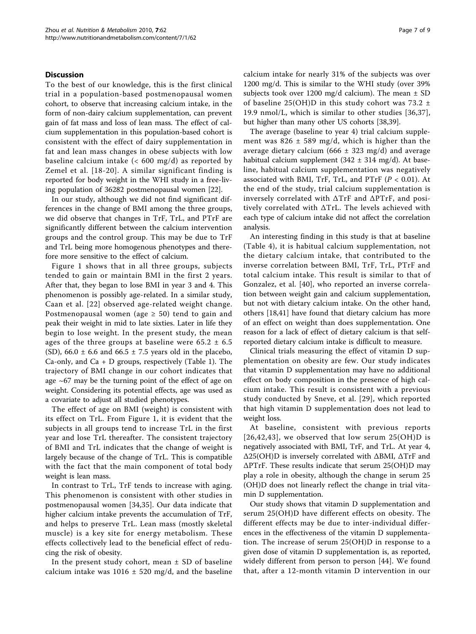#### Discussion

To the best of our knowledge, this is the first clinical trial in a population-based postmenopausal women cohort, to observe that increasing calcium intake, in the form of non-dairy calcium supplementation, can prevent gain of fat mass and loss of lean mass. The effect of calcium supplementation in this population-based cohort is consistent with the effect of dairy supplementation in fat and lean mass changes in obese subjects with low baseline calcium intake (< 600 mg/d) as reported by Zemel et al. [[18-20](#page-7-0)]. A similar significant finding is reported for body weight in the WHI study in a free-living population of 36282 postmenopausal women [[22](#page-7-0)].

In our study, although we did not find significant differences in the change of BMI among the three groups, we did observe that changes in TrF, TrL, and PTrF are significantly different between the calcium intervention groups and the control group. This may be due to TrF and TrL being more homogenous phenotypes and therefore more sensitive to the effect of calcium.

Figure [1](#page-4-0) shows that in all three groups, subjects tended to gain or maintain BMI in the first 2 years. After that, they began to lose BMI in year 3 and 4. This phenomenon is possibly age-related. In a similar study, Caan et al. [[22](#page-7-0)] observed age-related weight change. Postmenopausal women (age  $\geq$  50) tend to gain and peak their weight in mid to late sixties. Later in life they begin to lose weight. In the present study, the mean ages of the three groups at baseline were  $65.2 \pm 6.5$ (SD),  $66.0 \pm 6.6$  and  $66.5 \pm 7.5$  years old in the placebo, Ca-only, and  $Ca + D$  groups, respectively (Table [1\)](#page-2-0). The trajectory of BMI change in our cohort indicates that age  $~67$  may be the turning point of the effect of age on weight. Considering its potential effects, age was used as a covariate to adjust all studied phenotypes.

The effect of age on BMI (weight) is consistent with its effect on TrL. From Figure [1](#page-4-0), it is evident that the subjects in all groups tend to increase TrL in the first year and lose TrL thereafter. The consistent trajectory of BMI and TrL indicates that the change of weight is largely because of the change of TrL. This is compatible with the fact that the main component of total body weight is lean mass.

In contrast to TrL, TrF tends to increase with aging. This phenomenon is consistent with other studies in postmenopausal women [[34,35](#page-8-0)]. Our data indicate that higher calcium intake prevents the accumulation of TrF, and helps to preserve TrL. Lean mass (mostly skeletal muscle) is a key site for energy metabolism. These effects collectively lead to the beneficial effect of reducing the risk of obesity.

In the present study cohort, mean  $\pm$  SD of baseline calcium intake was  $1016 \pm 520$  mg/d, and the baseline calcium intake for nearly 31% of the subjects was over 1200 mg/d. This is similar to the WHI study (over 39% subjects took over 1200 mg/d calcium). The mean  $\pm$  SD of baseline 25(OH)D in this study cohort was 73.2  $\pm$ 19.9 nmol/L, which is similar to other studies [\[36](#page-8-0),[37](#page-8-0)], but higher than many other US cohorts [[38,39](#page-8-0)].

The average (baseline to year 4) trial calcium supplement was  $826 \pm 589$  mg/d, which is higher than the average dietary calcium (666  $\pm$  323 mg/d) and average habitual calcium supplement (342  $\pm$  314 mg/d). At baseline, habitual calcium supplementation was negatively associated with BMI, TrF, TrL, and PTrF  $(P < 0.01)$ . At the end of the study, trial calcium supplementation is inversely correlated with ΔTrF and ΔPTrF, and positively correlated with ΔTrL. The levels achieved with each type of calcium intake did not affect the correlation analysis.

An interesting finding in this study is that at baseline (Table [4](#page-5-0)), it is habitual calcium supplementation, not the dietary calcium intake, that contributed to the inverse correlation between BMI, TrF, TrL, PTrF and total calcium intake. This result is similar to that of Gonzalez, et al. [[40\]](#page-8-0), who reported an inverse correlation between weight gain and calcium supplementation, but not with dietary calcium intake. On the other hand, others [[18,](#page-7-0)[41\]](#page-8-0) have found that dietary calcium has more of an effect on weight than does supplementation. One reason for a lack of effect of dietary calcium is that selfreported dietary calcium intake is difficult to measure.

Clinical trials measuring the effect of vitamin D supplementation on obesity are few. Our study indicates that vitamin D supplementation may have no additional effect on body composition in the presence of high calcium intake. This result is consistent with a previous study conducted by Sneve, et al. [[29](#page-8-0)], which reported that high vitamin D supplementation does not lead to weight loss.

At baseline, consistent with previous reports  $[26,42,43]$  $[26,42,43]$  $[26,42,43]$  $[26,42,43]$  $[26,42,43]$  $[26,42,43]$ , we observed that low serum  $25(OH)D$  is negatively associated with BMI, TrF, and TrL. At year 4, Δ25(OH)D is inversely correlated with ΔBMI, ΔTrF and ΔPTrF. These results indicate that serum 25(OH)D may play a role in obesity, although the change in serum 25 (OH)D does not linearly reflect the change in trial vitamin D supplementation.

Our study shows that vitamin D supplementation and serum 25(OH)D have different effects on obesity. The different effects may be due to inter-individual differences in the effectiveness of the vitamin D supplementation. The increase of serum 25(OH)D in response to a given dose of vitamin D supplementation is, as reported, widely different from person to person [[44](#page-8-0)]. We found that, after a 12-month vitamin D intervention in our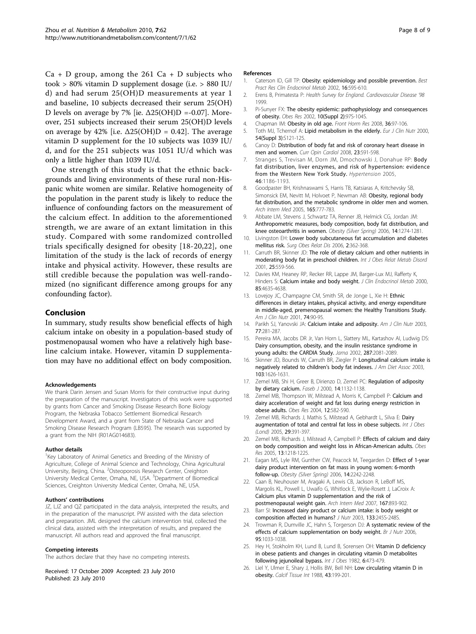<span id="page-7-0"></span> $Ca + D$  group, among the 261  $Ca + D$  subjects who took > 80% vitamin D supplement dosage (i.e. > 880 IU/ d) and had serum 25(OH)D measurements at year 1 and baseline, 10 subjects decreased their serum 25(OH) D levels on average by 7% [ie.  $\Delta$ 25(OH)D =-0.07]. Moreover, 251 subjects increased their serum 25(OH)D levels on average by 42% [i.e.  $\Delta$ 25(OH)D = 0.42]. The average vitamin D supplement for the 10 subjects was 1039 IU/ d, and for the 251 subjects was 1051 IU/d which was only a little higher than 1039 IU/d.

One strength of this study is that the ethnic backgrounds and living environments of these rural non-Hispanic white women are similar. Relative homogeneity of the population in the parent study is likely to reduce the influence of confounding factors on the measurement of the calcium effect. In addition to the aforementioned strength, we are aware of an extant limitation in this study. Compared with some randomized controlled trials specifically designed for obesity [18-20,22], one limitation of the study is the lack of records of energy intake and physical activity. However, these results are still credible because the population was well-randomized (no significant difference among groups for any confounding factor).

# Conclusion

In summary, study results show beneficial effects of high calcium intake on obesity in a population-based study of postmenopausal women who have a relatively high baseline calcium intake. However, vitamin D supplementation may have no additional effect on body composition.

#### Acknowledgements

We thank Darin Jensen and Susan Morris for their constructive input during the preparation of the manuscript. Investigators of this work were supported by grants from Cancer and Smoking Disease Research Bone Biology Program, the Nebraska Tobacco Settlement Biomedical Research Development Award, and a grant from State of Nebraska Cancer and Smoking Disease Research Program (LB595). The research was supported by a grant from the NIH (R01AG014683).

#### Author details

<sup>1</sup>Key Laboratory of Animal Genetics and Breeding of the Ministry of Agriculture, College of Animal Science and Technology, China Agricultural University, Beijing, China. <sup>2</sup>Osteoporosis Research Center, Creighton University Medical Center, Omaha, NE, USA. <sup>3</sup>Department of Biomedical Sciences, Creighton University Medical Center, Omaha, NE, USA.

#### Authors' contributions

JZ, LJZ and QZ participated in the data analysis, interpreted the results, and in the preparation of the manuscript. PW assisted with the data selection and preparation. JML designed the calcium intervention trial, collected the clinical data, assisted with the interpretation of results, and prepared the manuscript. All authors read and approved the final manuscript.

#### Competing interests

The authors declare that they have no competing interests.

Received: 17 October 2009 Accepted: 23 July 2010 Published: 23 July 2010

#### References

- 1. Caterson ID, Gill TP: [Obesity: epidemiology and possible prevention.](http://www.ncbi.nlm.nih.gov/pubmed/12468409?dopt=Abstract) Best Pract Res Clin Endocrinol Metab 2002, 16:595-610.
- 2. Erens B, Primatesta P: Health Survey for England. Cardiovascular Disease '98 1999.
- 3. Pi-Sunyer FX: [The obesity epidemic: pathophysiology and consequences](http://www.ncbi.nlm.nih.gov/pubmed/12490658?dopt=Abstract) [of obesity.](http://www.ncbi.nlm.nih.gov/pubmed/12490658?dopt=Abstract) Obes Res 2002, 10(Suppl 2):97S-104S.
- 4. Chapman IM: [Obesity in old age.](http://www.ncbi.nlm.nih.gov/pubmed/18230897?dopt=Abstract) Front Horm Res 2008, 36:97-106.
- 5. Toth MJ, Tchernof A: [Lipid metabolism in the elderly.](http://www.ncbi.nlm.nih.gov/pubmed/11041083?dopt=Abstract) Eur J Clin Nutr 2000, 54(Suppl 3):S121-125.
- 6. Canoy D: [Distribution of body fat and risk of coronary heart disease in](http://www.ncbi.nlm.nih.gov/pubmed/18830075?dopt=Abstract) [men and women.](http://www.ncbi.nlm.nih.gov/pubmed/18830075?dopt=Abstract) Curr Opin Cardiol 2008, 23:591-598.
- 7. Stranges S, Trevisan M, Dorn JM, Dmochowski J, Donahue RP: [Body](http://www.ncbi.nlm.nih.gov/pubmed/16203871?dopt=Abstract) [fat distribution, liver enzymes, and risk of hypertension: evidence](http://www.ncbi.nlm.nih.gov/pubmed/16203871?dopt=Abstract) [from the Western New York Study.](http://www.ncbi.nlm.nih.gov/pubmed/16203871?dopt=Abstract) Hypertension 2005, 46:1186-1193.
- 8. Goodpaster BH, Krishnaswami S, Harris TB, Katsiaras A, Kritchevsky SB, Simonsick EM, Nevitt M, Holvoet P, Newman AB: [Obesity, regional body](http://www.ncbi.nlm.nih.gov/pubmed/15824297?dopt=Abstract) [fat distribution, and the metabolic syndrome in older men and women.](http://www.ncbi.nlm.nih.gov/pubmed/15824297?dopt=Abstract) Arch Intern Med 2005, 165:777-783.
- 9. Abbate LM, Stevens J, Schwartz TA, Renner JB, Helmick CG, Jordan JM: [Anthropometric measures, body composition, body fat distribution, and](http://www.ncbi.nlm.nih.gov/pubmed/16899809?dopt=Abstract) [knee osteoarthritis in women.](http://www.ncbi.nlm.nih.gov/pubmed/16899809?dopt=Abstract) Obesity (Silver Spring) 2006, 14:1274-1281.
- 10. Livingston EH: [Lower body subcutaneous fat accumulation and diabetes](http://www.ncbi.nlm.nih.gov/pubmed/16925353?dopt=Abstract) [mellitus risk.](http://www.ncbi.nlm.nih.gov/pubmed/16925353?dopt=Abstract) Surg Obes Relat Dis 2006, 2:362-368.
- 11. Carruth BR, Skinner JD: [The role of dietary calcium and other nutrients in](http://www.ncbi.nlm.nih.gov/pubmed/11319662?dopt=Abstract) [moderating body fat in preschool children.](http://www.ncbi.nlm.nih.gov/pubmed/11319662?dopt=Abstract) Int J Obes Relat Metab Disord 2001, 25:559-566.
- 12. Davies KM, Heaney RP, Recker RR, Lappe JM, Barger-Lux MJ, Rafferty K, Hinders S: [Calcium intake and body weight.](http://www.ncbi.nlm.nih.gov/pubmed/11134120?dopt=Abstract) J Clin Endocrinol Metab 2000, 85:4635-4638.
- 13. Lovejoy JC, Champagne CM, Smith SR, de Jonge L, Xie H: [Ethnic](http://www.ncbi.nlm.nih.gov/pubmed/11451722?dopt=Abstract) [differences in dietary intakes, physical activity, and energy expenditure](http://www.ncbi.nlm.nih.gov/pubmed/11451722?dopt=Abstract) [in middle-aged, premenopausal women: the Healthy Transitions Study.](http://www.ncbi.nlm.nih.gov/pubmed/11451722?dopt=Abstract) Am J Clin Nutr 2001, 74:90-95.
- 14. Parikh SJ, Yanovski JA: [Calcium intake and adiposity.](http://www.ncbi.nlm.nih.gov/pubmed/12540383?dopt=Abstract) Am J Clin Nutr 2003, 77:281-287.
- 15. Pereira MA, Jacobs DR Jr, Van Horn L, Slattery ML, Kartashov AI, Ludwig DS: [Dairy consumption, obesity, and the insulin resistance syndrome in](http://www.ncbi.nlm.nih.gov/pubmed/11966382?dopt=Abstract) [young adults: the CARDIA Study.](http://www.ncbi.nlm.nih.gov/pubmed/11966382?dopt=Abstract) Jama 2002, 287:2081-2089.
- 16. Skinner JD, Bounds W, Carruth BR, Ziegler P: [Longitudinal calcium intake is](http://www.ncbi.nlm.nih.gov/pubmed/14647089?dopt=Abstract) [negatively related to children](http://www.ncbi.nlm.nih.gov/pubmed/14647089?dopt=Abstract)'s body fat indexes. J Am Diet Assoc 2003, 103:1626-1631.
- 17. Zemel MB, Shi H, Greer B, Dirienzo D, Zemel PC: [Regulation of adiposity](http://www.ncbi.nlm.nih.gov/pubmed/10834935?dopt=Abstract) [by dietary calcium.](http://www.ncbi.nlm.nih.gov/pubmed/10834935?dopt=Abstract) Faseb J 2000, 14:1132-1138.
- 18. Zemel MB, Thompson W, Milstead A, Morris K, Campbell P: [Calcium and](http://www.ncbi.nlm.nih.gov/pubmed/15090625?dopt=Abstract) [dairy acceleration of weight and fat loss during energy restriction in](http://www.ncbi.nlm.nih.gov/pubmed/15090625?dopt=Abstract) [obese adults.](http://www.ncbi.nlm.nih.gov/pubmed/15090625?dopt=Abstract) Obes Res 2004, 12:582-590.
- 19. Zemel MB, Richards J, Mathis S, Milstead A, Gebhardt L, Silva E: [Dairy](http://www.ncbi.nlm.nih.gov/pubmed/15672113?dopt=Abstract) [augmentation of total and central fat loss in obese subjects.](http://www.ncbi.nlm.nih.gov/pubmed/15672113?dopt=Abstract) Int J Obes (Lond) 2005, 29:391-397.
- 20. Zemel MB, Richards J, Milstead A, Campbell P: [Effects of calcium and dairy](http://www.ncbi.nlm.nih.gov/pubmed/16076991?dopt=Abstract) [on body composition and weight loss in African-American adults.](http://www.ncbi.nlm.nih.gov/pubmed/16076991?dopt=Abstract) Obes Res 2005, 13:1218-1225.
- 21. Eagan MS, Lyle RM, Gunther CW, Peacock M, Teegarden D: [Effect of 1-year](http://www.ncbi.nlm.nih.gov/pubmed/17189552?dopt=Abstract) [dairy product intervention on fat mass in young women: 6-month](http://www.ncbi.nlm.nih.gov/pubmed/17189552?dopt=Abstract) [follow-up.](http://www.ncbi.nlm.nih.gov/pubmed/17189552?dopt=Abstract) Obesity (Silver Spring) 2006, 14:2242-2248.
- Caan B, Neuhouser M, Aragaki A, Lewis CB, Jackson R, LeBoff MS, Margolis KL, Powell L, Uwaifo G, Whitlock E, Wylie-Rosett J, LaCroix A: [Calcium plus vitamin D supplementation and the risk of](http://www.ncbi.nlm.nih.gov/pubmed/17502530?dopt=Abstract) [postmenopausal weight gain.](http://www.ncbi.nlm.nih.gov/pubmed/17502530?dopt=Abstract) Arch Intern Med 2007, 167:893-902.
- 23. Barr SI: [Increased dairy product or calcium intake: is body weight or](http://www.ncbi.nlm.nih.gov/pubmed/12514301?dopt=Abstract) [composition affected in humans?](http://www.ncbi.nlm.nih.gov/pubmed/12514301?dopt=Abstract) J Nutr 2003, 133:245S-248S.
- 24. Trowman R, Dumville JC, Hahn S, Torgerson DJ: [A systematic review of the](http://www.ncbi.nlm.nih.gov/pubmed/16768823?dopt=Abstract) [effects of calcium supplementation on body weight.](http://www.ncbi.nlm.nih.gov/pubmed/16768823?dopt=Abstract) Br J Nutr 2006, 95:1033-1038.
- 25. Hey H, Stokholm KH, Lund B, Lund B, Sorensen OH: [Vitamin D deficiency](http://www.ncbi.nlm.nih.gov/pubmed/6983505?dopt=Abstract) [in obese patients and changes in circulating vitamin D metabolites](http://www.ncbi.nlm.nih.gov/pubmed/6983505?dopt=Abstract) [following jejunoileal bypass.](http://www.ncbi.nlm.nih.gov/pubmed/6983505?dopt=Abstract) Int J Obes 1982, 6:473-479.
- 26. Liel Y, Ulmer E, Shary J, Hollis BW, Bell NH: [Low circulating vitamin D in](http://www.ncbi.nlm.nih.gov/pubmed/3145124?dopt=Abstract) [obesity.](http://www.ncbi.nlm.nih.gov/pubmed/3145124?dopt=Abstract) Calcif Tissue Int 1988, 43:199-201.